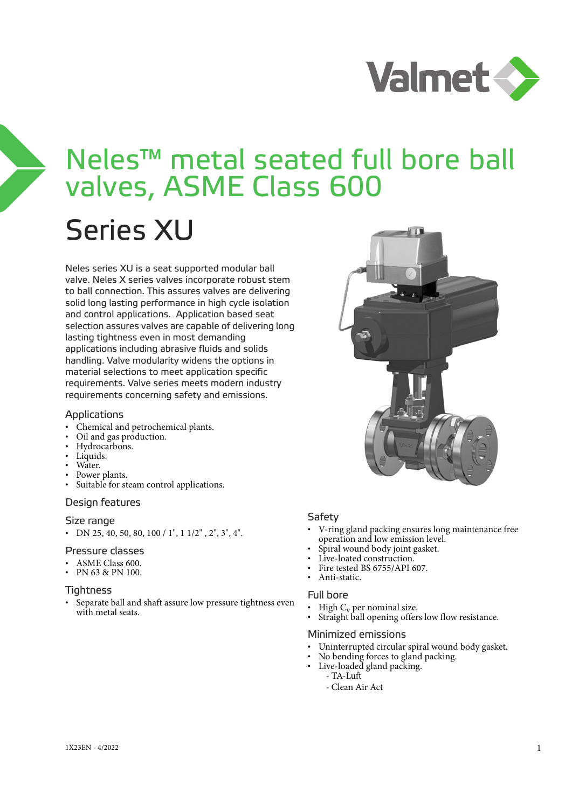

# Neles™ metal seated full bore ball valves, ASME Class 600

# Series XU

Neles series XU is a seat supported modular ball valve. Neles X series valves incorporate robust stem to ball connection. This assures valves are delivering solid long lasting performance in high cycle isolation and control applications. Application based seat selection assures valves are capable of delivering long lasting tightness even in most demanding applications including abrasive fluids and solids handling. Valve modularity widens the options in material selections to meet application specific requirements. Valve series meets modern industry requirements concerning safety and emissions.

#### Applications

- Chemical and petrochemical plants.
- Oil and gas production.
- Hydrocarbons.
- Liquids.
- Water.
- Power plants.
- Suitable for steam control applications.

#### Design features

#### Size range

• DN 25, 40, 50, 80, 100 / 1", 1 1/2", 2", 3", 4".

#### Pressure classes

- ASME Class 600.
- PN 63 & PN 100.

#### **Tightness**

• Separate ball and shaft assure low pressure tightness even with metal seats.



#### **Safety**

- V-ring gland packing ensures long maintenance free operation and low emission level.
- Spiral wound body joint gasket.
- Live-loated construction.
- Fire tested BS 6755/API 607.
- Anti-static.

#### Full bore

- 
- $\text{High C}_v$  per nominal size.<br>Straight ball opening offers low flow resistance.

#### Minimized emissions

- Uninterrupted circular spiral wound body gasket.
- No bending forces to gland packing.
- Live-loaded gland packing.
	- TA-Luft
		- Clean Air Act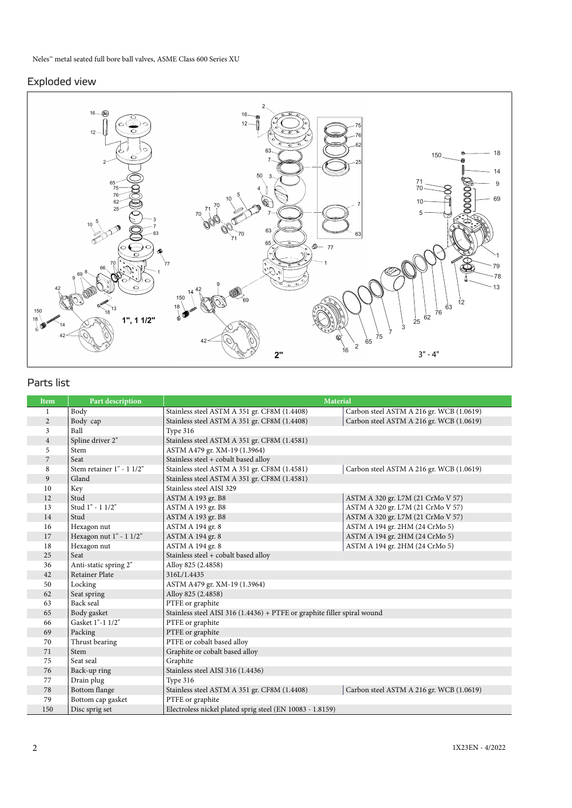### Exploded view



# Parts list

| <b>Item</b>    | Part description          | <b>Material</b>                                                          |                                          |
|----------------|---------------------------|--------------------------------------------------------------------------|------------------------------------------|
| 1              | Body                      | Stainless steel ASTM A 351 gr. CF8M (1.4408)                             | Carbon steel ASTM A 216 gr. WCB (1.0619) |
| $\overline{2}$ | Body cap                  | Stainless steel ASTM A 351 gr. CF8M (1.4408)                             | Carbon steel ASTM A 216 gr. WCB (1.0619) |
| $\overline{3}$ | Ball                      | Type 316                                                                 |                                          |
| $\overline{4}$ | Spline driver 2"          | Stainless steel ASTM A 351 gr. CF8M (1.4581)                             |                                          |
| 5              | Stem                      | ASTM A479 gr. XM-19 (1.3964)                                             |                                          |
| $\overline{7}$ | Seat                      | Stainless steel + cobalt based alloy                                     |                                          |
| 8              | Stem retainer 1" - 1 1/2" | Stainless steel ASTM A 351 gr. CF8M (1.4581)                             | Carbon steel ASTM A 216 gr. WCB (1.0619) |
| 9              | Gland                     | Stainless steel ASTM A 351 gr. CF8M (1.4581)                             |                                          |
| 10             | Key                       | Stainless steel AISI 329                                                 |                                          |
| 12             | Stud                      | ASTM A 193 gr. B8                                                        | ASTM A 320 gr. L7M (21 CrMo V 57)        |
| 13             | Stud 1" - 1 1/2"          | ASTM A 193 gr. B8                                                        | ASTM A 320 gr. L7M (21 CrMo V 57)        |
| 14             | Stud                      | ASTM A 193 gr. B8                                                        | ASTM A 320 gr. L7M (21 CrMo V 57)        |
| 16             | Hexagon nut               | ASTM A 194 gr. 8                                                         | ASTM A 194 gr. 2HM (24 CrMo 5)           |
| 17             | Hexagon nut $1" - 11/2"$  | ASTM A 194 gr. 8                                                         | ASTM A 194 gr. 2HM (24 CrMo 5)           |
| 18             | Hexagon nut               | ASTM A 194 gr. 8                                                         | ASTM A 194 gr. 2HM (24 CrMo 5)           |
| 25             | Seat                      | Stainless steel + cobalt based alloy                                     |                                          |
| 36             | Anti-static spring 2"     | Alloy 825 (2.4858)                                                       |                                          |
| 42             | Retainer Plate            | 316L/1.4435                                                              |                                          |
| 50             | Locking                   | ASTM A479 gr. XM-19 (1.3964)                                             |                                          |
| 62             | Seat spring               | Alloy 825 (2.4858)                                                       |                                          |
| 63             | Back seal                 | PTFE or graphite                                                         |                                          |
| 65             | Body gasket               | Stainless steel AISI 316 (1.4436) + PTFE or graphite filler spiral wound |                                          |
| 66             | Gasket 1"-1 1/2"          | PTFE or graphite                                                         |                                          |
| 69             | Packing                   | PTFE or graphite                                                         |                                          |
| 70             | Thrust bearing            | PTFE or cobalt based alloy                                               |                                          |
| 71             | Stem                      | Graphite or cobalt based alloy                                           |                                          |
| 75             | Seat seal                 | Graphite                                                                 |                                          |
| 76             | Back-up ring              | Stainless steel AISI 316 (1.4436)                                        |                                          |
| 77             | Drain plug                | Type 316                                                                 |                                          |
| 78             | <b>Bottom</b> flange      | Stainless steel ASTM A 351 gr. CF8M (1.4408)                             | Carbon steel ASTM A 216 gr. WCB (1.0619) |
| 79             | Bottom cap gasket         | PTFE or graphite                                                         |                                          |
| 150            | Disc sprig set            | Electroless nickel plated sprig steel (EN 10083 - 1.8159)                |                                          |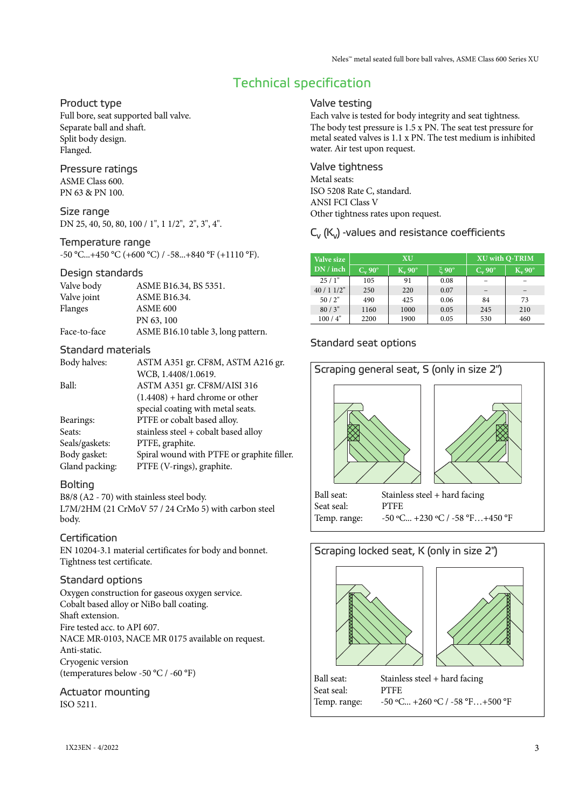# Technical specification

#### Product type

Full bore, seat supported ball valve. Separate ball and shaft. Split body design. Flanged.

#### Pressure ratings ASME Class 600.

PN 63 & PN 100.

#### Size range

DN 25, 40, 50, 80, 100 / 1", 1 1/2", 2", 3", 4".

#### Temperature range

 $-50$  °C...+450 °C (+600 °C) /  $-58...+840$  °F (+1110 °F).

#### Design standards

| Valve body   | ASME B16.34, BS 5351.              |
|--------------|------------------------------------|
| Valve joint  | <b>ASME B16.34.</b>                |
| Flanges      | ASME <sub>600</sub>                |
|              | PN 63, 100                         |
| Face-to-face | ASME B16.10 table 3, long pattern. |

#### Standard materials

| ASTM A351 gr. CF8M, ASTM A216 gr.          |
|--------------------------------------------|
| WCB, 1.4408/1.0619.                        |
| ASTM A351 gr. CF8M/AISI 316                |
| $(1.4408) +$ hard chrome or other          |
| special coating with metal seats.          |
| PTFE or cobalt based alloy.                |
| stainless steel + cobalt based alloy       |
| PTFE, graphite.                            |
| Spiral wound with PTFE or graphite filler. |
| PTFE (V-rings), graphite.                  |
|                                            |

#### **Bolting**

B8/8 (A2 - 70) with stainless steel body. L7M/2HM (21 CrMoV 57 / 24 CrMo 5) with carbon steel body.

#### Certification

EN 10204-3.1 material certificates for body and bonnet. Tightness test certificate.

#### Standard options

Oxygen construction for gaseous oxygen service. Cobalt based alloy or NiBo ball coating. Shaft extension. Fire tested acc. to API 607. NACE MR-0103, NACE MR 0175 available on request. Anti-static. Cryogenic version (temperatures below -50 °C / -60 °F)

#### Actuator mounting ISO 5211.

#### Valve testing

Each valve is tested for body integrity and seat tightness. The body test pressure is 1.5 x PN. The seat test pressure for metal seated valves is 1.1 x PN. The test medium is inhibited water. Air test upon request.

Valve tightness Metal seats: ISO 5208 Rate C, standard. ANSI FCI Class V Other tightness rates upon request.

 $C_v$  ( $K_v$ ) -values and resistance coefficients

| Valve size  |           | XU        | <b>XU with Q-TRIM</b> |           |           |  |
|-------------|-----------|-----------|-----------------------|-----------|-----------|--|
| DN / inch   | $C_v$ 90° | $K_v$ 90° | $\epsilon$ 90°        | $C_v$ 90° | $K_v$ 90° |  |
| 25/1"       | 105       | 91        | 0.08                  |           |           |  |
| $40/11/2$ " | 250       | 220       | 0.07                  |           |           |  |
| 50/2"       | 490       | 425       | 0.06                  | 84        | 73        |  |
| 80/3"       | 1160      | 1000      | 0.05                  | 245       | 210       |  |
| 100/4"      | 2200      | 1900      | 0.05                  | 530       | 460       |  |

### Standard seat options



# Scraping locked seat, K (only in size 2")





Ball seat: Stainless steel + hard facing Seat seal: PTFE Temp. range:  $-50$  °C... +260 °C / -58 °F... +500 °F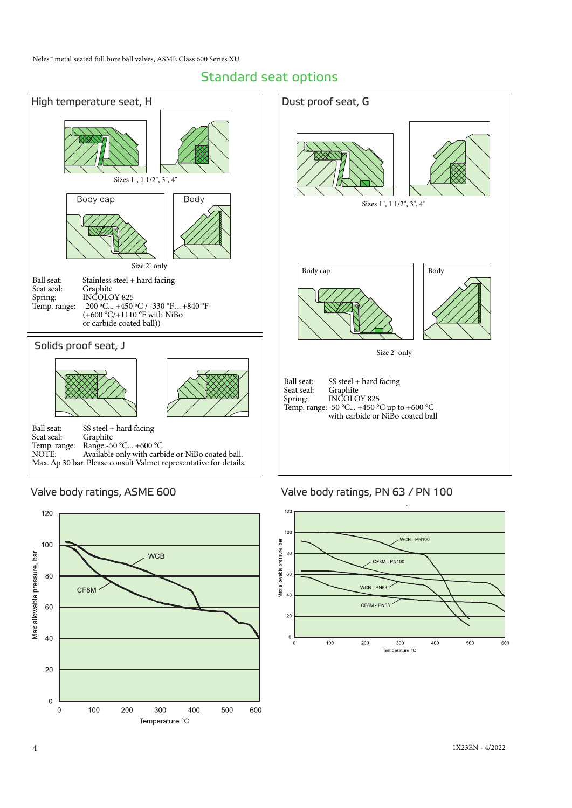# Standard seat options





#### Valve body ratings, ASME 600 Valve body ratings, PN 63 / PN 100

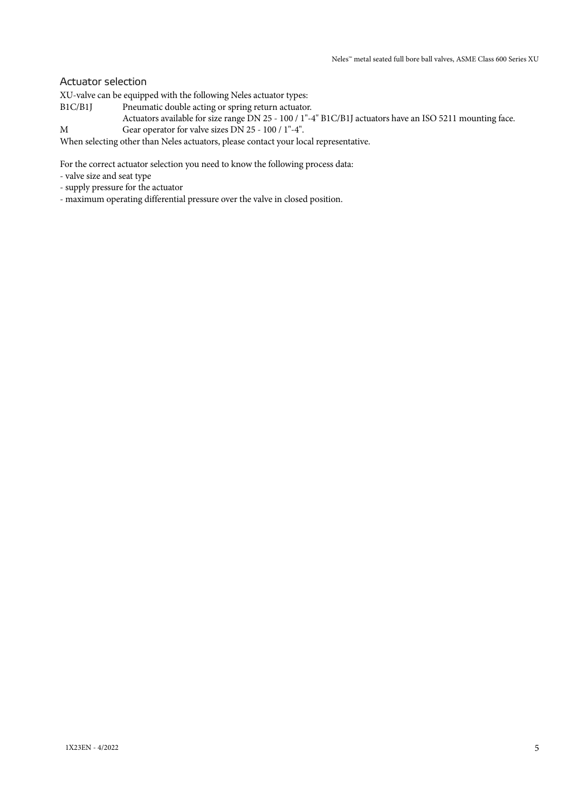#### Actuator selection

XU-valve can be equipped with the following Neles actuator types:

- B1C/B1J Pneumatic double acting or spring return actuator.
- Actuators available for size range DN 25 100 / 1"-4" B1C/B1J actuators have an ISO 5211 mounting face. M Gear operator for valve sizes DN 25 - 100 / 1"-4".

When selecting other than Neles actuators, please contact your local representative.

For the correct actuator selection you need to know the following process data:

- valve size and seat type
- supply pressure for the actuator
- maximum operating differential pressure over the valve in closed position.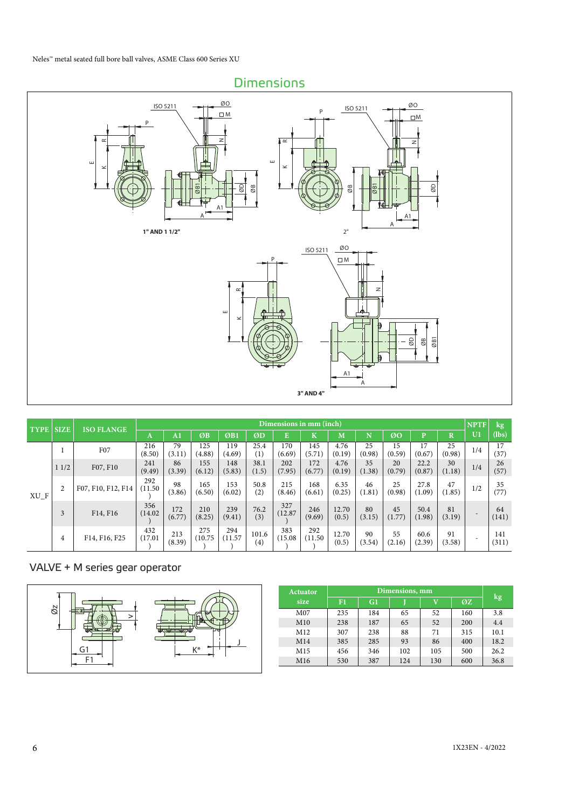

| <b>TYPE SIZE</b> |      | <b>ISO FLANGE</b>  |                |               |                |                |               | Dimensions in mm (inch) |                |                |              |              |                |                         | <b>NPTF</b> | $\log$       |
|------------------|------|--------------------|----------------|---------------|----------------|----------------|---------------|-------------------------|----------------|----------------|--------------|--------------|----------------|-------------------------|-------------|--------------|
|                  |      |                    | A              | $\bf{A1}$     | ØB             | ØB1            | ØD            | E                       | $\bf K$        | M              | N            | ØO           | p              | $\overline{\mathbf{R}}$ | U1          | (lbs)        |
|                  |      | F07                | 216<br>(8.50)  | 79<br>(3.11)  | 125<br>(4.88)  | 119<br>(4.69)  | 25.4<br>(1)   | 170<br>(6.69)           | 145<br>(5.71)  | 4.76<br>(0.19) | 25<br>(0.98) | 15<br>(0.59) | 17<br>(0.67)   | 25<br>(0.98)            | 1/4         | 17<br>(37)   |
|                  | 11/2 | F07, F10           | 241<br>(9.49)  | 86<br>(3.39)  | 155<br>(6.12)  | 148<br>(5.83)  | 38.1<br>(1.5) | 202<br>(7.95)           | 172<br>(6.77)  | 4.76<br>(0.19) | 35<br>(1.38) | 20<br>(0.79) | 22.2<br>(0.87) | 30<br>(1.18)            | 1/4         | 26<br>(57)   |
| $XU_F$           | 2    | F07, F10, F12, F14 | 292<br>(11.50) | 98<br>(3.86)  | 165<br>(6.50)  | 153<br>(6.02)  | 50.8<br>(2)   | 215<br>(8.46)           | 168<br>(6.61)  | 6.35<br>(0.25) | 46<br>(1.81) | 25<br>(0.98) | 27.8<br>(1.09) | 47<br>(1.85)            | 1/2         | 35<br>(77)   |
|                  | 3    | F14, F16           | 356<br>(14.02) | 172<br>(6.77) | 210<br>(8.25)  | 239<br>(9.41)  | 76.2<br>(3)   | 327<br>(12.87)          | 246<br>(9.69)  | 12.70<br>(0.5) | 80<br>(3.15) | 45<br>(1.77) | 50.4<br>(1.98) | 81<br>(3.19)            |             | 64<br>(141)  |
|                  | 4    | F14, F16, F25      | 432<br>(17.01) | 213<br>(8.39) | 275<br>(10.75) | 294<br>(11.57) | 101.6<br>(4)  | 383<br>(15.08)          | 292<br>(11.50) | 12.70<br>(0.5) | 90<br>(3.54) | 55<br>(2.16) | 60.6<br>(2.39) | 91<br>(3.58)            |             | 141<br>(311) |

#### VALVE + M series gear operator

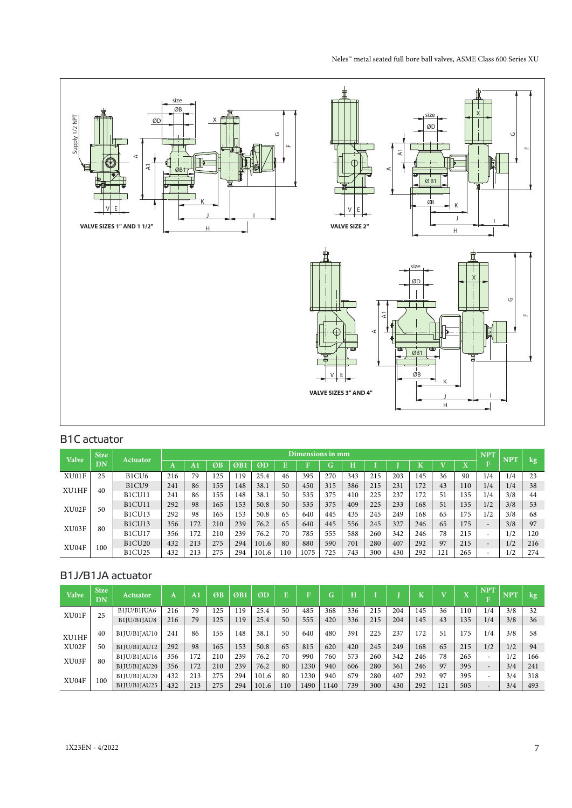

# B1C actuator

| <b>Valve</b> | <b>Size</b> | Actuator                       |     |     |     |     |       |     | Dimensions in mm |     |     |     |     |     |     |                              | <b>NPT</b>               | <b>NPT</b> |     |
|--------------|-------------|--------------------------------|-----|-----|-----|-----|-------|-----|------------------|-----|-----|-----|-----|-----|-----|------------------------------|--------------------------|------------|-----|
|              | DN          |                                | A   | A.  | ØB  | ØB1 | ØD    |     |                  | G   | Ĥ   |     |     | n   |     | $\overline{\mathbf{x}}$<br>л | n                        |            | kg  |
| XU01F        | 25          | B <sub>1</sub> CU <sub>6</sub> | 216 | 79  | .25 | 119 | 25.4  | 46  | 395              | 270 | 343 | 215 | 203 | 145 | 36  | 90                           | 1/4                      | 1/4        | 23  |
| XU1HF        | 40          | B <sub>1</sub> CU <sub>9</sub> | 241 | 86  | 155 | 148 | 38.1  | 50  | 450              | 315 | 386 | 215 | 231 | 172 | 43  | 110                          | 1/4                      | 1/4        | 38  |
|              |             | B1CU11                         | 241 | 86  | 155 | 148 | 38.   | 50  | 535              | 375 | 410 | 225 | 237 | 172 | 51  | 135                          | 1/4                      | 3/8        | 44  |
| XU02F        | 50          | B1CU11                         | 292 | 98  | 165 | 153 | 50.8  | 50  | 535              | 375 | 409 | 225 | 233 | 168 | 51  | 135                          | 1/2                      | 3/8        | 53  |
|              |             | B1CU13                         | 292 | 98  | 165 | 153 | 50.8  | 65  | 640              | 445 | 435 | 245 | 249 | 168 | 65  | 175                          | 1/2                      | 3/8        | 68  |
| XU03F        | 80          | <b>B1CU13</b>                  | 356 | 172 | 210 | 239 | 76.2  | 65  | 640              | 445 | 556 | 245 | 327 | 246 | 65  | 175                          | $\overline{\phantom{0}}$ | 3/8        | 97  |
|              |             | B1CU17                         | 356 | 172 | 210 | 239 | 76.2  | 70  | 785              | 555 | 588 | 260 | 342 | 246 | 78  | 215                          | $\overline{\phantom{a}}$ | 1/2        | 120 |
| XU04F        | 100         | <b>B1CU20</b>                  | 432 | 213 | 275 | 294 | 101.6 | 80  | 880              | 590 | 701 | 280 | 407 | 292 | 97  | 215                          | $\overline{\phantom{0}}$ | 1/2        | 216 |
|              |             | <b>B1CU25</b>                  | 432 | 213 | 275 | 294 | 101.6 | 110 | 1075             | 725 | 743 | 300 | 430 | 292 | 121 | 265                          | -                        | 1/2        | 274 |

# B1J/B1JA actuator

| <b>Valve</b> | <b>Size</b><br>DN | Actuator     | A   | A1  | ØB  | ØB1 | ØD    |     | $\overline{\mathbf{E}}$ | G.  | н   |     |     | T   |     | $\overline{\mathbf{x}}$<br>л | <b>NPT</b>               | <b>NPT</b> | kg  |
|--------------|-------------------|--------------|-----|-----|-----|-----|-------|-----|-------------------------|-----|-----|-----|-----|-----|-----|------------------------------|--------------------------|------------|-----|
| XU01F        | 25                | B1JU/B1JUA6  | 216 | 79  | 125 | 119 | 25.4  | 50  | 485                     | 368 | 336 | 215 | 204 | 145 | 36  | 110                          | 1/4                      | 3/8        | 32  |
|              |                   | B1JU/B1JAU8  | 216 | 79  | 125 | 119 | 25.4  | 50  | 555                     | 420 | 336 | 215 | 204 | 145 | 43  | 135                          | 1/4                      | 3/8        | 36  |
| XU1HF        | 40                | B1JU/B1JAU10 | 241 | 86  | 155 | 148 | 38.1  | 50  | 640                     | 480 | 391 | 225 | 237 | 172 | 51  | 175                          | 1/4                      | 3/8        | 58  |
| XU02F        | 50                | B1JU/B1JAU12 | 292 | 98  | 165 | 153 | 50.8  | 65  | 815                     | 620 | 420 | 245 | 249 | 168 | 65  | 215                          | 1/2                      | 1/2        | 94  |
| XU03F        | 80                | B1JU/B1JAU16 | 356 | 172 | 210 | 239 | 76.2  | 70  | 990                     | 760 | 573 | 260 | 342 | 246 | 78  | 265                          | ۰                        | 1/2        | 166 |
|              |                   | B1JU/B1JAU20 | 356 | 172 | 210 | 239 | 76.2  | 80  | 1230                    | 940 | 606 | 280 | 361 | 246 | 97  | 395                          | $\overline{\phantom{0}}$ | 3/4        | 241 |
| XU04F        | 100               | B1JU/B1JAU20 | 432 | 213 | 275 | 294 | 101.6 | 80  | 1230                    | 940 | 679 | 280 | 407 | 292 | 97  | 395                          | ۰                        | 3/4        | 318 |
|              |                   | B1JU/B1JAU25 | 432 | 213 | 275 | 294 | 101.6 | 110 | 1490                    | 140 | 739 | 300 | 430 | 292 | 121 | 505                          | $\overline{\phantom{0}}$ | 3/4        | 493 |